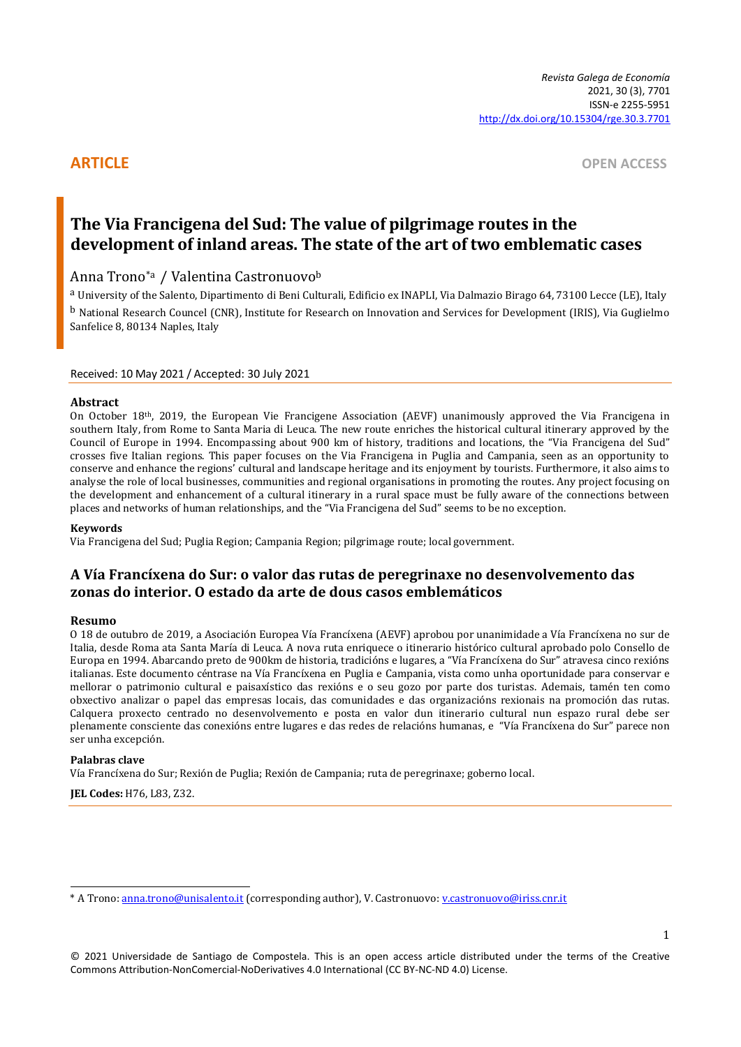**ARTICLE** OPEN ACCESS

# **The Via Francigena del Sud: The value of pilgrimage routes in the development of inland areas. The state of the art of two emblematic cases**

## Anna Trono\*a / Valentina Castronuovo<sup>b</sup>

a University of the Salento, Dipartimento di Beni Culturali, Edificio ex INAPLI, Via Dalmazio Birago 64, 73100 Lecce (LE), Italy b National Research Councel (CNR), Institute for Research on Innovation and Services for Development (IRIS), Via Guglielmo Sanfelice 8, 80134 Naples, Italy

#### Received: 10 May 2021 / Accepted: 30 July 2021

#### **Abstract**

On October 18th, 2019, the European Vie Francigene Association (AEVF) unanimously approved the Via Francigena in southern Italy, from Rome to Santa Maria di Leuca. The new route enriches the historical cultural itinerary approved by the Council of Europe in 1994. Encompassing about 900 km of history, traditions and locations, the "Via Francigena del Sud" crosses five Italian regions. This paper focuses on the Via Francigena in Puglia and Campania, seen as an opportunity to conserve and enhance the regions' cultural and landscape heritage and its enjoyment by tourists. Furthermore, it also aims to analyse the role of local businesses, communities and regional organisations in promoting the routes. Any project focusing on the development and enhancement of a cultural itinerary in a rural space must be fully aware of the connections between places and networks of human relationships, and the "Via Francigena del Sud" seems to be no exception.

#### **Keywords**

Via Francigena del Sud; Puglia Region; Campania Region; pilgrimage route; local government.

# **A Vía Francíxena do Sur: o valor das rutas de peregrinaxe no desenvolvemento das zonas do interior. O estado da arte de dous casos emblemáticos**

#### **Resumo**

O 18 de outubro de 2019, a Asociación Europea Vía Francíxena (AEVF) aprobou por unanimidade a Vía Francíxena no sur de Italia, desde Roma ata Santa María di Leuca. A nova ruta enriquece o itinerario histórico cultural aprobado polo Consello de Europa en 1994. Abarcando preto de 900km de historia, tradicións e lugares, a "Vía Francíxena do Sur" atravesa cinco rexións italianas. Este documento céntrase na Vía Francíxena en Puglia e Campania, vista como unha oportunidade para conservar e mellorar o patrimonio cultural e paisaxístico das rexións e o seu gozo por parte dos turistas. Ademais, tamén ten como obxectivo analizar o papel das empresas locais, das comunidades e das organizacións rexionais na promoción das rutas. Calquera proxecto centrado no desenvolvemento e posta en valor dun itinerario cultural nun espazo rural debe ser plenamente consciente das conexións entre lugares e das redes de relacións humanas, e "Vía Francíxena do Sur" parece non ser unha excepción.

#### **Palabras clave**

Vía Francíxena do Sur; Rexión de Puglia; Rexión de Campania; ruta de peregrinaxe; goberno local.

**JEL Codes:** H76, L83, Z32.

<sup>\*</sup> A Trono[: anna.trono@unisalento.it](mailto:anna.trono@unisalento.it) (corresponding author), V. Castronuovo[: v.castronuovo@iriss.cnr.it](mailto:v.castronuovo@iriss.cnr.it)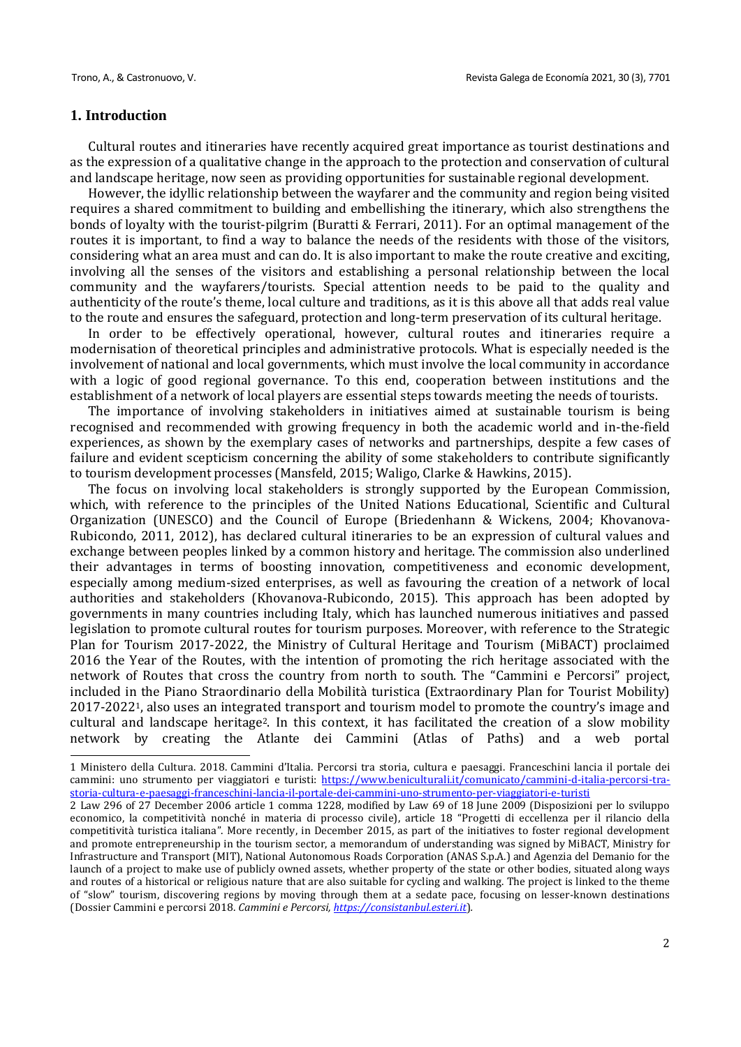#### **1. Introduction**

Cultural routes and itineraries have recently acquired great importance as tourist destinations and as the expression of a qualitative change in the approach to the protection and conservation of cultural and landscape heritage, now seen as providing opportunities for sustainable regional development.

However, the idyllic relationship between the wayfarer and the community and region being visited requires a shared commitment to building and embellishing the itinerary, which also strengthens the bonds of loyalty with the tourist-pilgrim (Buratti & Ferrari, 2011). For an optimal management of the routes it is important, to find a way to balance the needs of the residents with those of the visitors, considering what an area must and can do. It is also important to make the route creative and exciting, involving all the senses of the visitors and establishing a personal relationship between the local community and the wayfarers/tourists. Special attention needs to be paid to the quality and authenticity of the route's theme, local culture and traditions, as it is this above all that adds real value to the route and ensures the safeguard, protection and long-term preservation of its cultural heritage.

In order to be effectively operational, however, cultural routes and itineraries require a modernisation of theoretical principles and administrative protocols. What is especially needed is the involvement of national and local governments, which must involve the local community in accordance with a logic of good regional governance. To this end, cooperation between institutions and the establishment of a network of local players are essential steps towards meeting the needs of tourists.

The importance of involving stakeholders in initiatives aimed at sustainable tourism is being recognised and recommended with growing frequency in both the academic world and in-the-field experiences, as shown by the exemplary cases of networks and partnerships, despite a few cases of failure and evident scepticism concerning the ability of some stakeholders to contribute significantly to tourism development processes (Mansfeld, 2015; Waligo, Clarke & Hawkins, 2015).

The focus on involving local stakeholders is strongly supported by the European Commission, which, with reference to the principles of the United Nations Educational, Scientific and Cultural Organization (UNESCO) and the Council of Europe (Briedenhann & Wickens, 2004; Khovanova-Rubicondo, 2011, 2012), has declared cultural itineraries to be an expression of cultural values and exchange between peoples linked by a common history and heritage. The commission also underlined their advantages in terms of boosting innovation, competitiveness and economic development, especially among medium-sized enterprises, as well as favouring the creation of a network of local authorities and stakeholders (Khovanova-Rubicondo, 2015). This approach has been adopted by governments in many countries including Italy, which has launched numerous initiatives and passed legislation to promote cultural routes for tourism purposes. Moreover, with reference to the Strategic Plan for Tourism 2017-2022, the Ministry of Cultural Heritage and Tourism (MiBACT) proclaimed 2016 the Year of the Routes, with the intention of promoting the rich heritage associated with the network of Routes that cross the country from north to south. The "Cammini e Percorsi" project, included in the Piano Straordinario della Mobilità turistica (Extraordinary Plan for Tourist Mobility) 2017-20221, also uses an integrated transport and tourism model to promote the country's image and cultural and landscape heritage2. In this context, it has facilitated the creation of a slow mobility network by creating the Atlante dei Cammini (Atlas of Paths) and a web portal

<sup>1</sup> Ministero della Cultura. 2018. Cammini d'Italia. Percorsi tra storia, cultura e paesaggi. Franceschini lancia il portale dei cammini: uno strumento per viaggiatori e turisti: [https://www.beniculturali.it/comunicato/cammini-d-italia-percorsi-tra](https://www.beniculturali.it/comunicato/cammini-d-italia-percorsi-tra-storia-cultura-e-paesaggi-franceschini-lancia-il-portale-dei-cammini-uno-strumento-per-viaggiatori-e-turisti)[storia-cultura-e-paesaggi-franceschini-lancia-il-portale-dei-cammini-uno-strumento-per-viaggiatori-e-turisti](https://www.beniculturali.it/comunicato/cammini-d-italia-percorsi-tra-storia-cultura-e-paesaggi-franceschini-lancia-il-portale-dei-cammini-uno-strumento-per-viaggiatori-e-turisti)

<sup>2</sup> Law 296 of 27 December 2006 article 1 comma 1228, modified by Law 69 of 18 June 2009 (Disposizioni per lo sviluppo economico, la competitività nonché in materia di processo civile), article 18 "Progetti di eccellenza per il rilancio della competitività turistica italiana". More recently, in December 2015, as part of the initiatives to foster regional development and promote entrepreneurship in the tourism sector, a memorandum of understanding was signed by MiBACT, Ministry for Infrastructure and Transport (MIT), National Autonomous Roads Corporation (ANAS S.p.A.) and Agenzia del Demanio for the launch of a project to make use of publicly owned assets, whether property of the state or other bodies, situated along ways and routes of a historical or religious nature that are also suitable for cycling and walking. The project is linked to the theme of "slow" tourism, discovering regions by moving through them at a sedate pace, focusing on lesser-known destinations (Dossier Cammini e percorsi 2018. *Cammini e Percorsi, [https://consistanbul.esteri.it](https://consistanbul.esteri.it/)*)*.*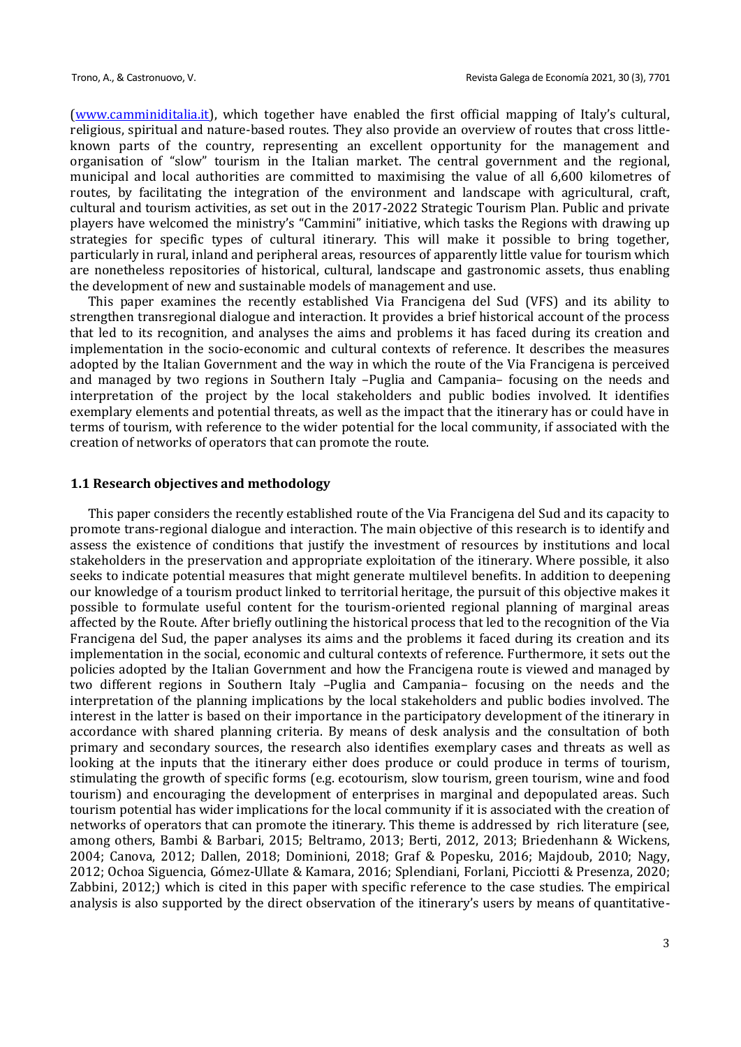[\(www.camminiditalia.it](http://www.camminiditalia.it/)), which together have enabled the first official mapping of Italy's cultural, religious, spiritual and nature-based routes. They also provide an overview of routes that cross littleknown parts of the country, representing an excellent opportunity for the management and organisation of "slow" tourism in the Italian market. The central government and the regional, municipal and local authorities are committed to maximising the value of all 6,600 kilometres of routes, by facilitating the integration of the environment and landscape with agricultural, craft, cultural and tourism activities, as set out in the 2017-2022 Strategic Tourism Plan. Public and private players have welcomed the ministry's "Cammini" initiative, which tasks the Regions with drawing up strategies for specific types of cultural itinerary. This will make it possible to bring together, particularly in rural, inland and peripheral areas, resources of apparently little value for tourism which are nonetheless repositories of historical, cultural, landscape and gastronomic assets, thus enabling the development of new and sustainable models of management and use.

This paper examines the recently established Via Francigena del Sud (VFS) and its ability to strengthen transregional dialogue and interaction. It provides a brief historical account of the process that led to its recognition, and analyses the aims and problems it has faced during its creation and implementation in the socio-economic and cultural contexts of reference. It describes the measures adopted by the Italian Government and the way in which the route of the Via Francigena is perceived and managed by two regions in Southern Italy –Puglia and Campania– focusing on the needs and interpretation of the project by the local stakeholders and public bodies involved. It identifies exemplary elements and potential threats, as well as the impact that the itinerary has or could have in terms of tourism, with reference to the wider potential for the local community, if associated with the creation of networks of operators that can promote the route.

#### **1.1 Research objectives and methodology**

This paper considers the recently established route of the Via Francigena del Sud and its capacity to promote trans-regional dialogue and interaction. The main objective of this research is to identify and assess the existence of conditions that justify the investment of resources by institutions and local stakeholders in the preservation and appropriate exploitation of the itinerary. Where possible, it also seeks to indicate potential measures that might generate multilevel benefits. In addition to deepening our knowledge of a tourism product linked to territorial heritage, the pursuit of this objective makes it possible to formulate useful content for the tourism-oriented regional planning of marginal areas affected by the Route. After briefly outlining the historical process that led to the recognition of the Via Francigena del Sud, the paper analyses its aims and the problems it faced during its creation and its implementation in the social, economic and cultural contexts of reference. Furthermore, it sets out the policies adopted by the Italian Government and how the Francigena route is viewed and managed by two different regions in Southern Italy –Puglia and Campania– focusing on the needs and the interpretation of the planning implications by the local stakeholders and public bodies involved. The interest in the latter is based on their importance in the participatory development of the itinerary in accordance with shared planning criteria. By means of desk analysis and the consultation of both primary and secondary sources, the research also identifies exemplary cases and threats as well as looking at the inputs that the itinerary either does produce or could produce in terms of tourism, stimulating the growth of specific forms (e.g. ecotourism, slow tourism, green tourism, wine and food tourism) and encouraging the development of enterprises in marginal and depopulated areas. Such tourism potential has wider implications for the local community if it is associated with the creation of networks of operators that can promote the itinerary. This theme is addressed by rich literature (see, among others, Bambi & Barbari, 2015; Beltramo, 2013; Berti, 2012, 2013; Briedenhann & Wickens, 2004; Canova, 2012; Dallen, 2018; Dominioni, 2018; Graf & Popesku, 2016; Majdoub, 2010; Nagy, 2012; Ochoa Siguencia, Gómez-Ullate & Kamara, 2016; Splendiani, Forlani, Picciotti & Presenza, 2020; Zabbini, 2012;) which is cited in this paper with specific reference to the case studies. The empirical analysis is also supported by the direct observation of the itinerary's users by means of quantitative-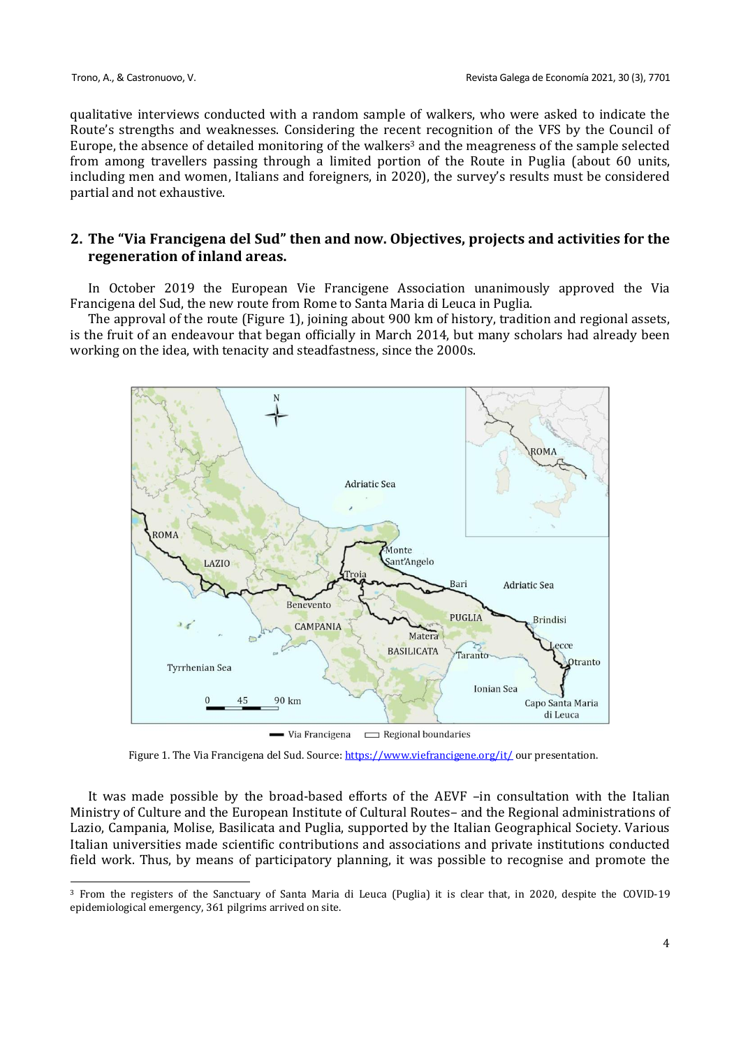qualitative interviews conducted with a random sample of walkers, who were asked to indicate the Route's strengths and weaknesses. Considering the recent recognition of the VFS by the Council of Europe, the absence of detailed monitoring of the walkers<sup>3</sup> and the meagreness of the sample selected from among travellers passing through a limited portion of the Route in Puglia (about 60 units, including men and women, Italians and foreigners, in 2020), the survey's results must be considered partial and not exhaustive.

### **2. The "Via Francigena del Sud" then and now. Objectives, projects and activities for the regeneration of inland areas.**

In October 2019 the European Vie Francigene Association unanimously approved the Via Francigena del Sud, the new route from Rome to Santa Maria di Leuca in Puglia.

The approval of the route (Figure 1), joining about 900 km of history, tradition and regional assets, is the fruit of an endeavour that began officially in March 2014, but many scholars had already been working on the idea, with tenacity and steadfastness, since the 2000s.



 $\longrightarrow$  Via Francigena  $\longrightarrow$  Regional boundaries

It was made possible by the broad-based efforts of the AEVF –in consultation with the Italian Ministry of Culture and the European Institute of Cultural Routes– and the Regional administrations of Lazio, Campania, Molise, Basilicata and Puglia, supported by the Italian Geographical Society. Various Italian universities made scientific contributions and associations and private institutions conducted field work. Thus, by means of participatory planning, it was possible to recognise and promote the

Figure 1. The Via Francigena del Sud. Source[: https://www.viefrancigene.org/it/](https://www.viefrancigene.org/it/) our presentation.

<sup>3</sup> From the registers of the Sanctuary of Santa Maria di Leuca (Puglia) it is clear that, in 2020, despite the COVID-19 epidemiological emergency, 361 pilgrims arrived on site.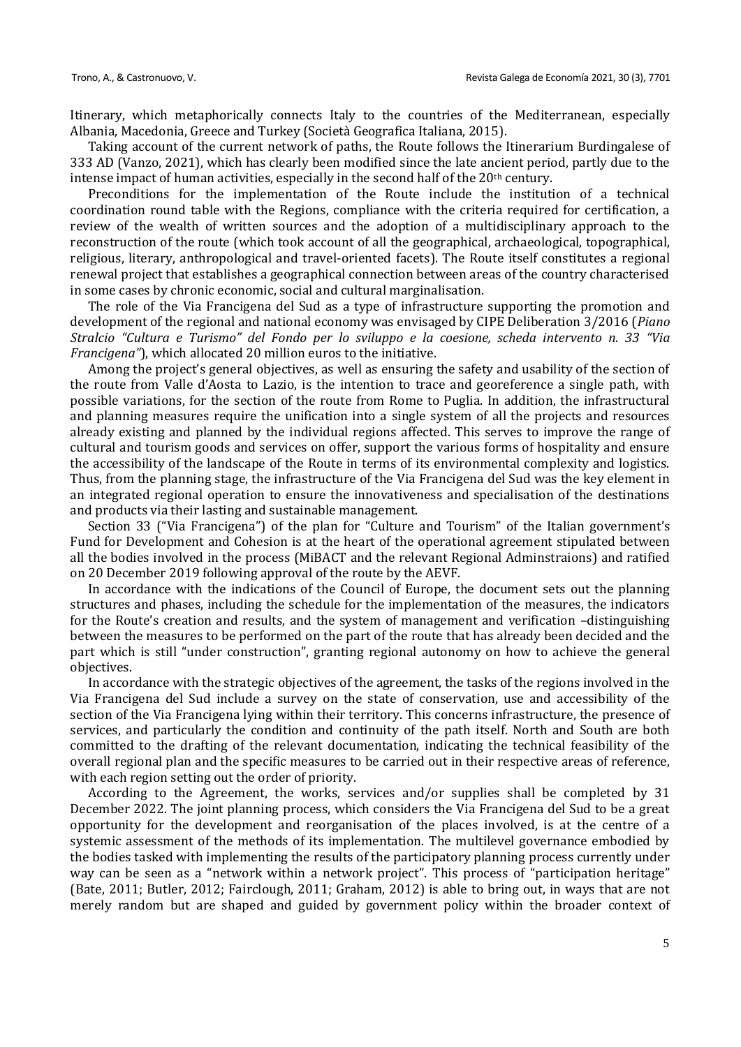Itinerary, which metaphorically connects Italy to the countries of the Mediterranean, especially Albania, Macedonia, Greece and Turkey (Società Geografica Italiana, 2015).

Taking account of the current network of paths, the Route follows the Itinerarium Burdingalese of 333 AD (Vanzo, 2021), which has clearly been modified since the late ancient period, partly due to the intense impact of human activities, especially in the second half of the 20<sup>th</sup> century.

Preconditions for the implementation of the Route include the institution of a technical coordination round table with the Regions, compliance with the criteria required for certification, a review of the wealth of written sources and the adoption of a multidisciplinary approach to the reconstruction of the route (which took account of all the geographical, archaeological, topographical, religious, literary, anthropological and travel-oriented facets). The Route itself constitutes a regional renewal project that establishes a geographical connection between areas of the country characterised in some cases by chronic economic, social and cultural marginalisation.

The role of the Via Francigena del Sud as a type of infrastructure supporting the promotion and development of the regional and national economy was envisaged by CIPE Deliberation 3/2016 (*Piano Stralcio "Cultura e Turismo" del Fondo per lo sviluppo e la coesione, scheda intervento n. 33 "Via Francigena"*), which allocated 20 million euros to the initiative.

Among the project's general objectives, as well as ensuring the safety and usability of the section of the route from Valle d'Aosta to Lazio, is the intention to trace and georeference a single path, with possible variations, for the section of the route from Rome to Puglia. In addition, the infrastructural and planning measures require the unification into a single system of all the projects and resources already existing and planned by the individual regions affected. This serves to improve the range of cultural and tourism goods and services on offer, support the various forms of hospitality and ensure the accessibility of the landscape of the Route in terms of its environmental complexity and logistics. Thus, from the planning stage, the infrastructure of the Via Francigena del Sud was the key element in an integrated regional operation to ensure the innovativeness and specialisation of the destinations and products via their lasting and sustainable management.

Section 33 ("Via Francigena") of the plan for "Culture and Tourism" of the Italian government's Fund for Development and Cohesion is at the heart of the operational agreement stipulated between all the bodies involved in the process (MiBACT and the relevant Regional Adminstraions) and ratified on 20 December 2019 following approval of the route by the AEVF.

In accordance with the indications of the Council of Europe, the document sets out the planning structures and phases, including the schedule for the implementation of the measures, the indicators for the Route's creation and results, and the system of management and verification –distinguishing between the measures to be performed on the part of the route that has already been decided and the part which is still "under construction", granting regional autonomy on how to achieve the general objectives.

In accordance with the strategic objectives of the agreement, the tasks of the regions involved in the Via Francigena del Sud include a survey on the state of conservation, use and accessibility of the section of the Via Francigena lying within their territory. This concerns infrastructure, the presence of services, and particularly the condition and continuity of the path itself. North and South are both committed to the drafting of the relevant documentation, indicating the technical feasibility of the overall regional plan and the specific measures to be carried out in their respective areas of reference, with each region setting out the order of priority.

According to the Agreement, the works, services and/or supplies shall be completed by 31 December 2022. The joint planning process, which considers the Via Francigena del Sud to be a great opportunity for the development and reorganisation of the places involved, is at the centre of a systemic assessment of the methods of its implementation. The multilevel governance embodied by the bodies tasked with implementing the results of the participatory planning process currently under way can be seen as a "network within a network project". This process of "participation heritage" (Bate, 2011; Butler, 2012; Fairclough, 2011; Graham, 2012) is able to bring out, in ways that are not merely random but are shaped and guided by government policy within the broader context of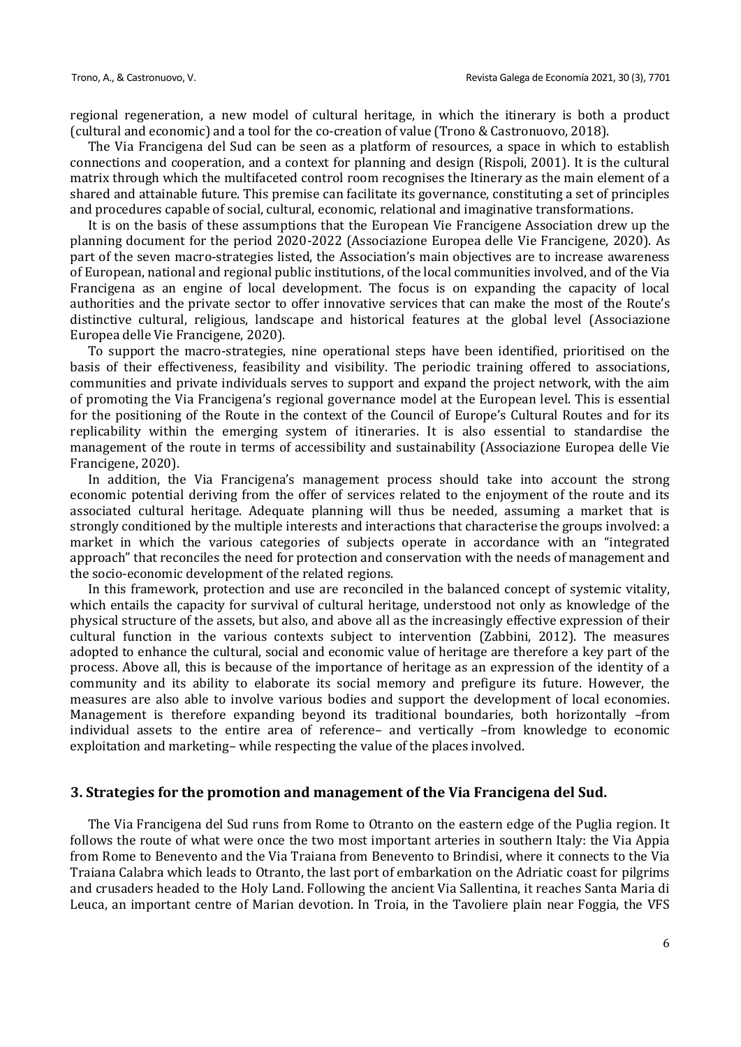regional regeneration, a new model of cultural heritage, in which the itinerary is both a product (cultural and economic) and a tool for the co-creation of value (Trono & Castronuovo, 2018).

The Via Francigena del Sud can be seen as a platform of resources, a space in which to establish connections and cooperation, and a context for planning and design (Rispoli, 2001). It is the cultural matrix through which the multifaceted control room recognises the Itinerary as the main element of a shared and attainable future. This premise can facilitate its governance, constituting a set of principles and procedures capable of social, cultural, economic, relational and imaginative transformations.

It is on the basis of these assumptions that the European Vie Francigene Association drew up the planning document for the period 2020-2022 (Associazione Europea delle Vie Francigene, 2020). As part of the seven macro-strategies listed, the Association's main objectives are to increase awareness of European, national and regional public institutions, of the local communities involved, and of the Via Francigena as an engine of local development. The focus is on expanding the capacity of local authorities and the private sector to offer innovative services that can make the most of the Route's distinctive cultural, religious, landscape and historical features at the global level (Associazione Europea delle Vie Francigene, 2020).

To support the macro-strategies, nine operational steps have been identified, prioritised on the basis of their effectiveness, feasibility and visibility. The periodic training offered to associations, communities and private individuals serves to support and expand the project network, with the aim of promoting the Via Francigena's regional governance model at the European level. This is essential for the positioning of the Route in the context of the Council of Europe's Cultural Routes and for its replicability within the emerging system of itineraries. It is also essential to standardise the management of the route in terms of accessibility and sustainability (Associazione Europea delle Vie Francigene, 2020).

In addition, the Via Francigena's management process should take into account the strong economic potential deriving from the offer of services related to the enjoyment of the route and its associated cultural heritage. Adequate planning will thus be needed, assuming a market that is strongly conditioned by the multiple interests and interactions that characterise the groups involved: a market in which the various categories of subjects operate in accordance with an "integrated approach" that reconciles the need for protection and conservation with the needs of management and the socio-economic development of the related regions.

In this framework, protection and use are reconciled in the balanced concept of systemic vitality, which entails the capacity for survival of cultural heritage, understood not only as knowledge of the physical structure of the assets, but also, and above all as the increasingly effective expression of their cultural function in the various contexts subject to intervention (Zabbini, 2012). The measures adopted to enhance the cultural, social and economic value of heritage are therefore a key part of the process. Above all, this is because of the importance of heritage as an expression of the identity of a community and its ability to elaborate its social memory and prefigure its future. However, the measures are also able to involve various bodies and support the development of local economies. Management is therefore expanding beyond its traditional boundaries, both horizontally –from individual assets to the entire area of reference– and vertically –from knowledge to economic exploitation and marketing– while respecting the value of the places involved.

#### **3. Strategies for the promotion and management of the Via Francigena del Sud.**

The Via Francigena del Sud runs from Rome to Otranto on the eastern edge of the Puglia region. It follows the route of what were once the two most important arteries in southern Italy: the Via Appia from Rome to Benevento and the Via Traiana from Benevento to Brindisi, where it connects to the Via Traiana Calabra which leads to Otranto, the last port of embarkation on the Adriatic coast for pilgrims and crusaders headed to the Holy Land. Following the ancient Via Sallentina, it reaches Santa Maria di Leuca, an important centre of Marian devotion. In Troia, in the Tavoliere plain near Foggia, the VFS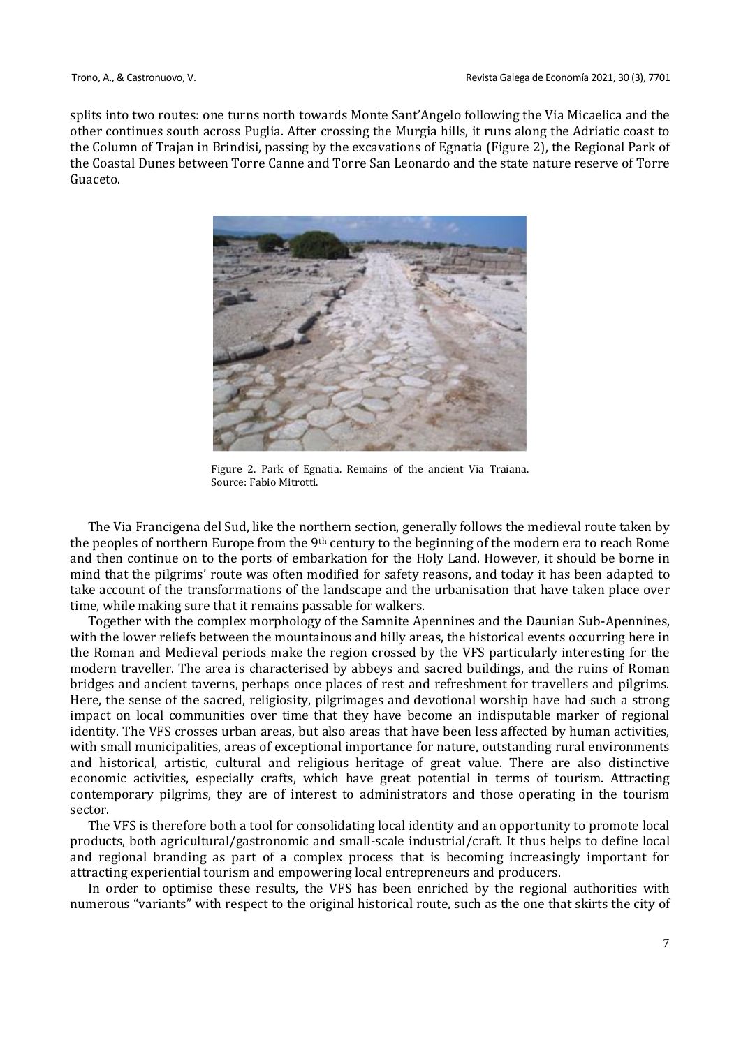splits into two routes: one turns north towards Monte Sant'Angelo following the Via Micaelica and the other continues south across Puglia. After crossing the Murgia hills, it runs along the Adriatic coast to the Column of Trajan in Brindisi, passing by the excavations of Egnatia (Figure 2), the Regional Park of the Coastal Dunes between Torre Canne and Torre San Leonardo and the state nature reserve of Torre Guaceto.



Figure 2. Park of Egnatia. Remains of the ancient Via Traiana. Source: Fabio Mitrotti.

The Via Francigena del Sud, like the northern section, generally follows the medieval route taken by the peoples of northern Europe from the 9th century to the beginning of the modern era to reach Rome and then continue on to the ports of embarkation for the Holy Land. However, it should be borne in mind that the pilgrims' route was often modified for safety reasons, and today it has been adapted to take account of the transformations of the landscape and the urbanisation that have taken place over time, while making sure that it remains passable for walkers.

Together with the complex morphology of the Samnite Apennines and the Daunian Sub-Apennines, with the lower reliefs between the mountainous and hilly areas, the historical events occurring here in the Roman and Medieval periods make the region crossed by the VFS particularly interesting for the modern traveller. The area is characterised by abbeys and sacred buildings, and the ruins of Roman bridges and ancient taverns, perhaps once places of rest and refreshment for travellers and pilgrims. Here, the sense of the sacred, religiosity, pilgrimages and devotional worship have had such a strong impact on local communities over time that they have become an indisputable marker of regional identity. The VFS crosses urban areas, but also areas that have been less affected by human activities, with small municipalities, areas of exceptional importance for nature, outstanding rural environments and historical, artistic, cultural and religious heritage of great value. There are also distinctive economic activities, especially crafts, which have great potential in terms of tourism. Attracting contemporary pilgrims, they are of interest to administrators and those operating in the tourism sector.

The VFS is therefore both a tool for consolidating local identity and an opportunity to promote local products, both agricultural/gastronomic and small-scale industrial/craft. It thus helps to define local and regional branding as part of a complex process that is becoming increasingly important for attracting experiential tourism and empowering local entrepreneurs and producers.

In order to optimise these results, the VFS has been enriched by the regional authorities with numerous "variants" with respect to the original historical route, such as the one that skirts the city of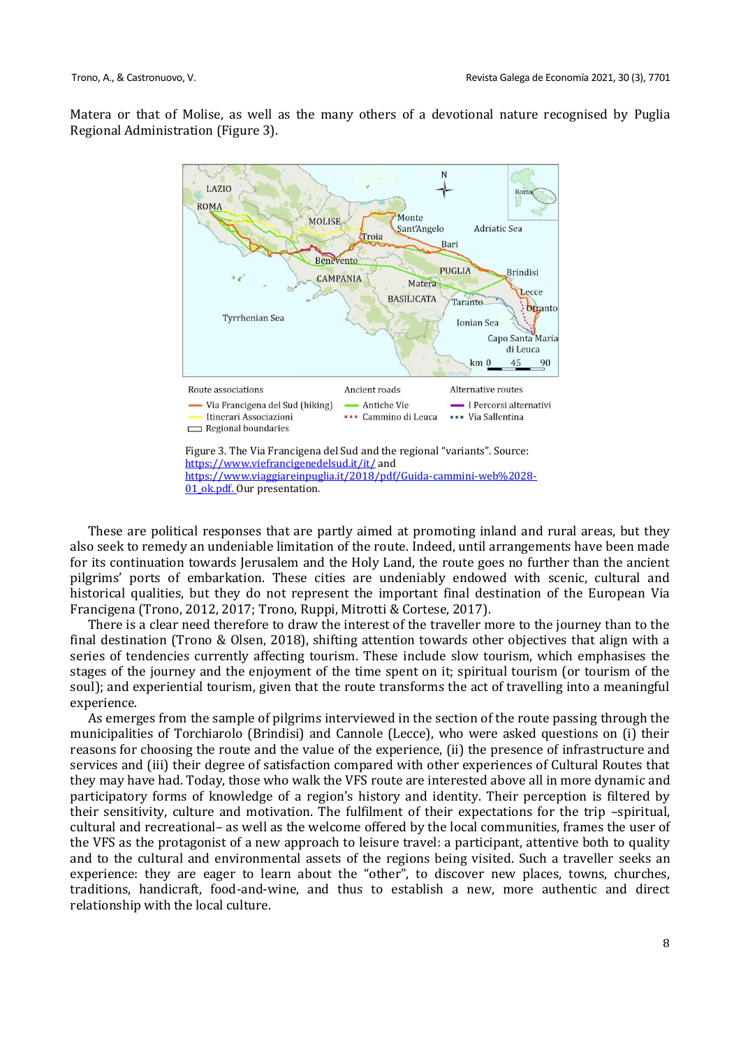Matera or that of Molise, as well as the many others of a devotional nature recognised by Puglia Regional Administration (Figure 3).



These are political responses that are partly aimed at promoting inland and rural areas, but they also seek to remedy an undeniable limitation of the route. Indeed, until arrangements have been made for its continuation towards Jerusalem and the Holy Land, the route goes no further than the ancient pilgrims' ports of embarkation. These cities are undeniably endowed with scenic, cultural and historical qualities, but they do not represent the important final destination of the European Via Francigena (Trono, 2012, 2017; Trono, Ruppi, Mitrotti & Cortese, 2017).

There is a clear need therefore to draw the interest of the traveller more to the journey than to the final destination (Trono & Olsen, 2018), shifting attention towards other objectives that align with a series of tendencies currently affecting tourism. These include slow tourism, which emphasises the stages of the journey and the enjoyment of the time spent on it; spiritual tourism (or tourism of the soul); and experiential tourism, given that the route transforms the act of travelling into a meaningful experience.

As emerges from the sample of pilgrims interviewed in the section of the route passing through the municipalities of Torchiarolo (Brindisi) and Cannole (Lecce), who were asked questions on (i) their reasons for choosing the route and the value of the experience, (ii) the presence of infrastructure and services and (iii) their degree of satisfaction compared with other experiences of Cultural Routes that they may have had. Today, those who walk the VFS route are interested above all in more dynamic and participatory forms of knowledge of a region's history and identity. Their perception is filtered by their sensitivity, culture and motivation. The fulfilment of their expectations for the trip -spiritual, cultural and recreational– as well as the welcome offered by the local communities, frames the user of the VFS as the protagonist of a new approach to leisure travel: a participant, attentive both to quality and to the cultural and environmental assets of the regions being visited. Such a traveller seeks an experience: they are eager to learn about the "other", to discover new places, towns, churches, traditions, handicraft, food-and-wine, and thus to establish a new, more authentic and direct relationship with the local culture.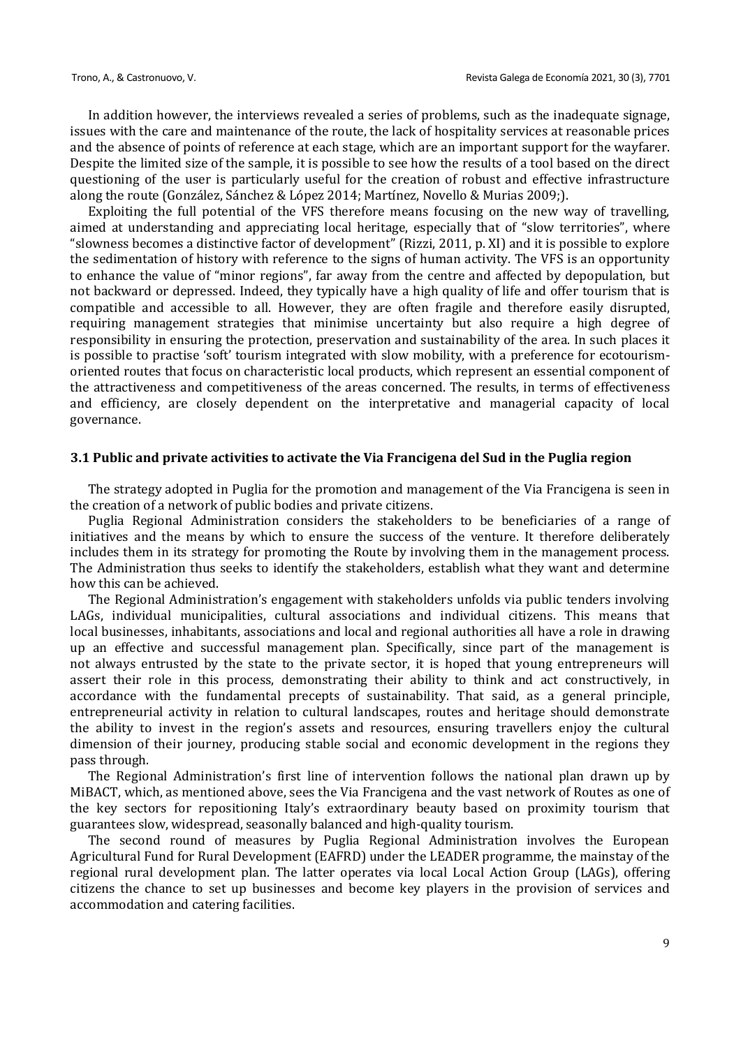In addition however, the interviews revealed a series of problems, such as the inadequate signage, issues with the care and maintenance of the route, the lack of hospitality services at reasonable prices and the absence of points of reference at each stage, which are an important support for the wayfarer. Despite the limited size of the sample, it is possible to see how the results of a tool based on the direct questioning of the user is particularly useful for the creation of robust and effective infrastructure along the route (González, Sánchez & López 2014; Martínez, Novello & Murias 2009;).

Exploiting the full potential of the VFS therefore means focusing on the new way of travelling, aimed at understanding and appreciating local heritage, especially that of "slow territories", where "slowness becomes a distinctive factor of development" (Rizzi, 2011, p. XI) and it is possible to explore the sedimentation of history with reference to the signs of human activity. The VFS is an opportunity to enhance the value of "minor regions", far away from the centre and affected by depopulation, but not backward or depressed. Indeed, they typically have a high quality of life and offer tourism that is compatible and accessible to all. However, they are often fragile and therefore easily disrupted, requiring management strategies that minimise uncertainty but also require a high degree of responsibility in ensuring the protection, preservation and sustainability of the area. In such places it is possible to practise 'soft' tourism integrated with slow mobility, with a preference for ecotourismoriented routes that focus on characteristic local products, which represent an essential component of the attractiveness and competitiveness of the areas concerned. The results, in terms of effectiveness and efficiency, are closely dependent on the interpretative and managerial capacity of local governance.

#### **3.1 Public and private activities to activate the Via Francigena del Sud in the Puglia region**

The strategy adopted in Puglia for the promotion and management of the Via Francigena is seen in the creation of a network of public bodies and private citizens.

Puglia Regional Administration considers the stakeholders to be beneficiaries of a range of initiatives and the means by which to ensure the success of the venture. It therefore deliberately includes them in its strategy for promoting the Route by involving them in the management process. The Administration thus seeks to identify the stakeholders, establish what they want and determine how this can be achieved.

The Regional Administration's engagement with stakeholders unfolds via public tenders involving LAGs, individual municipalities, cultural associations and individual citizens. This means that local businesses, inhabitants, associations and local and regional authorities all have a role in drawing up an effective and successful management plan. Specifically, since part of the management is not always entrusted by the state to the private sector, it is hoped that young entrepreneurs will assert their role in this process, demonstrating their ability to think and act constructively, in accordance with the fundamental precepts of sustainability. That said, as a general principle, entrepreneurial activity in relation to cultural landscapes, routes and heritage should demonstrate the ability to invest in the region's assets and resources, ensuring travellers enjoy the cultural dimension of their journey, producing stable social and economic development in the regions they pass through.

The Regional Administration's first line of intervention follows the national plan drawn up by MiBACT, which, as mentioned above, sees the Via Francigena and the vast network of Routes as one of the key sectors for repositioning Italy's extraordinary beauty based on proximity tourism that guarantees slow, widespread, seasonally balanced and high-quality tourism.

The second round of measures by Puglia Regional Administration involves the European Agricultural Fund for Rural Development (EAFRD) under the LEADER programme, the mainstay of the regional rural development plan. The latter operates via local Local Action Group (LAGs), offering citizens the chance to set up businesses and become key players in the provision of services and accommodation and catering facilities.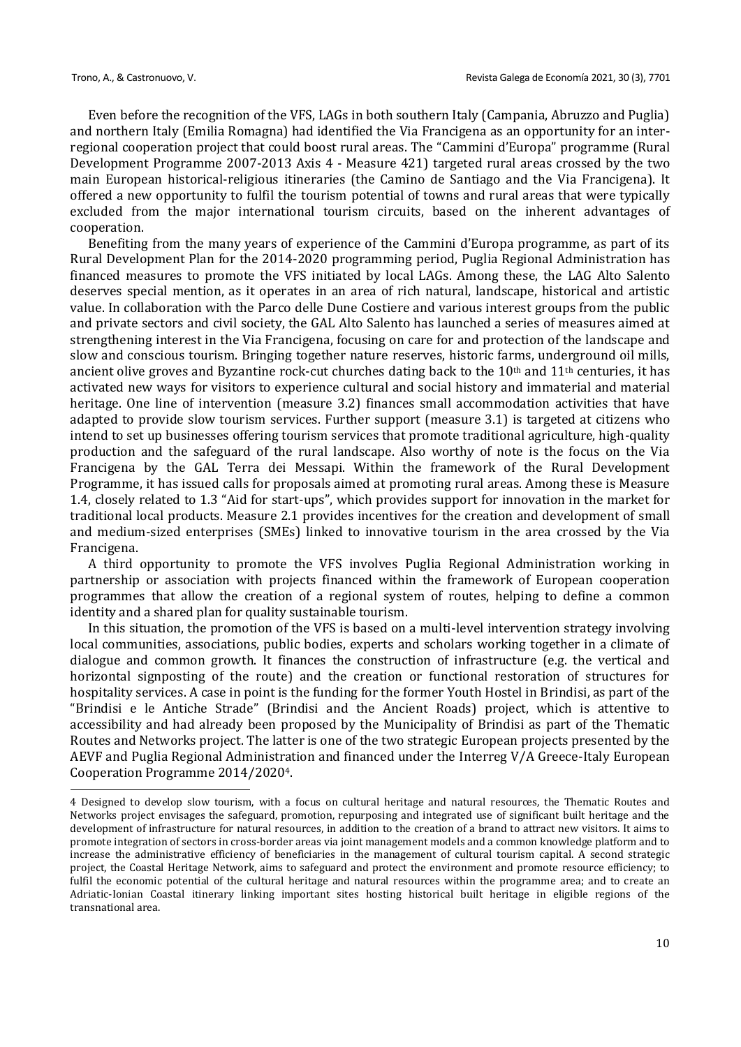Even before the recognition of the VFS, LAGs in both southern Italy (Campania, Abruzzo and Puglia) and northern Italy (Emilia Romagna) had identified the Via Francigena as an opportunity for an interregional cooperation project that could boost rural areas. The "Cammini d'Europa" programme (Rural Development Programme 2007-2013 Axis 4 - Measure 421) targeted rural areas crossed by the two main European historical-religious itineraries (the Camino de Santiago and the Via Francigena). It offered a new opportunity to fulfil the tourism potential of towns and rural areas that were typically excluded from the major international tourism circuits, based on the inherent advantages of cooperation.

Benefiting from the many years of experience of the Cammini d'Europa programme, as part of its Rural Development Plan for the 2014-2020 programming period, Puglia Regional Administration has financed measures to promote the VFS initiated by local LAGs. Among these, the LAG Alto Salento deserves special mention, as it operates in an area of rich natural, landscape, historical and artistic value. In collaboration with the Parco delle Dune Costiere and various interest groups from the public and private sectors and civil society, the GAL Alto Salento has launched a series of measures aimed at strengthening interest in the Via Francigena, focusing on care for and protection of the landscape and slow and conscious tourism. Bringing together nature reserves, historic farms, underground oil mills, ancient olive groves and Byzantine rock-cut churches dating back to the  $10<sup>th</sup>$  and  $11<sup>th</sup>$  centuries, it has activated new ways for visitors to experience cultural and social history and immaterial and material heritage. One line of intervention (measure 3.2) finances small accommodation activities that have adapted to provide slow tourism services. Further support (measure 3.1) is targeted at citizens who intend to set up businesses offering tourism services that promote traditional agriculture, high-quality production and the safeguard of the rural landscape. Also worthy of note is the focus on the Via Francigena by the GAL Terra dei Messapi. Within the framework of the Rural Development Programme, it has issued calls for proposals aimed at promoting rural areas. Among these is Measure 1.4, closely related to 1.3 "Aid for start-ups", which provides support for innovation in the market for traditional local products. Measure 2.1 provides incentives for the creation and development of small and medium-sized enterprises (SMEs) linked to innovative tourism in the area crossed by the Via Francigena.

A third opportunity to promote the VFS involves Puglia Regional Administration working in partnership or association with projects financed within the framework of European cooperation programmes that allow the creation of a regional system of routes, helping to define a common identity and a shared plan for quality sustainable tourism.

In this situation, the promotion of the VFS is based on a multi-level intervention strategy involving local communities, associations, public bodies, experts and scholars working together in a climate of dialogue and common growth. It finances the construction of infrastructure (e.g. the vertical and horizontal signposting of the route) and the creation or functional restoration of structures for hospitality services. A case in point is the funding for the former Youth Hostel in Brindisi, as part of the "Brindisi e le Antiche Strade" (Brindisi and the Ancient Roads) project, which is attentive to accessibility and had already been proposed by the Municipality of Brindisi as part of the Thematic Routes and Networks project. The latter is one of the two strategic European projects presented by the AEVF and Puglia Regional Administration and financed under the Interreg V/A Greece-Italy European Cooperation Programme 2014/20204.

<sup>4</sup> Designed to develop slow tourism, with a focus on cultural heritage and natural resources, the Thematic Routes and Networks project envisages the safeguard, promotion, repurposing and integrated use of significant built heritage and the development of infrastructure for natural resources, in addition to the creation of a brand to attract new visitors. It aims to promote integration of sectors in cross-border areas via joint management models and a common knowledge platform and to increase the administrative efficiency of beneficiaries in the management of cultural tourism capital. A second strategic project, the Coastal Heritage Network, aims to safeguard and protect the environment and promote resource efficiency; to fulfil the economic potential of the cultural heritage and natural resources within the programme area; and to create an Adriatic-Ionian Coastal itinerary linking important sites hosting historical built heritage in eligible regions of the transnational area.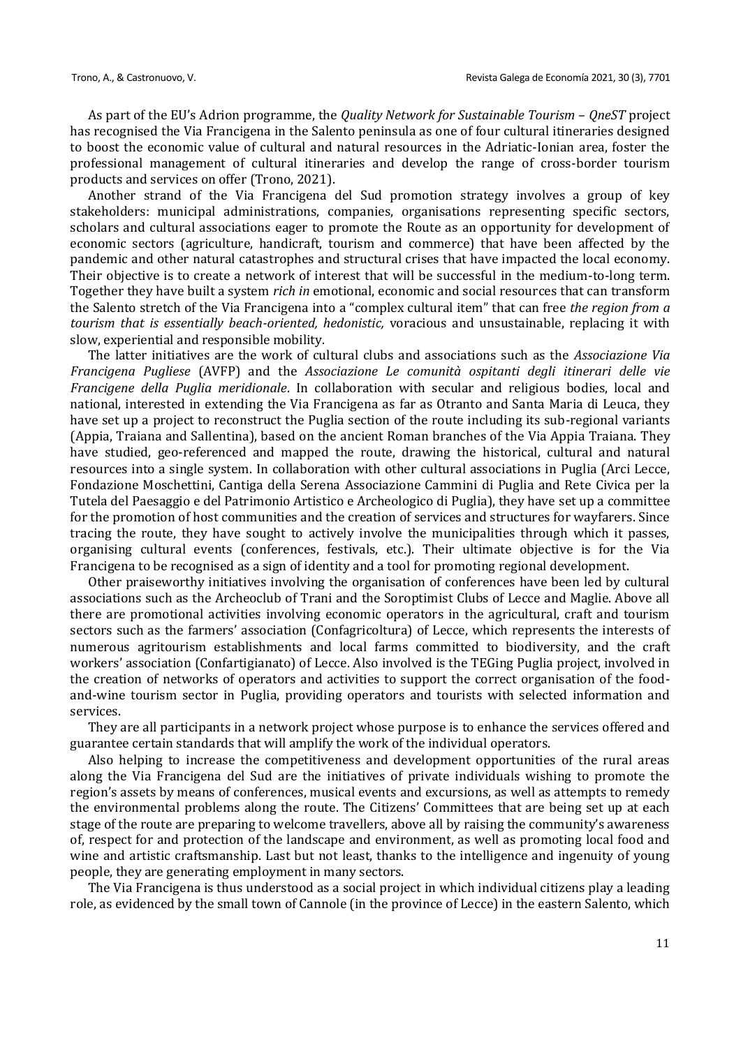As part of the EU's Adrion programme, the *Quality Network for Sustainable Tourism* – *QneST* project has recognised the Via Francigena in the Salento peninsula as one of four cultural itineraries designed to boost the economic value of cultural and natural resources in the Adriatic-Ionian area, foster the professional management of cultural itineraries and develop the range of cross-border tourism products and services on offer (Trono, 2021).

Another strand of the Via Francigena del Sud promotion strategy involves a group of key stakeholders: municipal administrations, companies, organisations representing specific sectors, scholars and cultural associations eager to promote the Route as an opportunity for development of economic sectors (agriculture, handicraft, tourism and commerce) that have been affected by the pandemic and other natural catastrophes and structural crises that have impacted the local economy. Their objective is to create a network of interest that will be successful in the medium-to-long term. Together they have built a system *rich in* emotional, economic and social resources that can transform the Salento stretch of the Via Francigena into a "complex cultural item" that can free *the region from a tourism that is essentially beach-oriented, hedonistic,* voracious and unsustainable, replacing it with slow, experiential and responsible mobility.

The latter initiatives are the work of cultural clubs and associations such as the *Associazione Via Francigena Pugliese* (AVFP) and the *Associazione Le comunità ospitanti degli itinerari delle vie Francigene della Puglia meridionale*. In collaboration with secular and religious bodies, local and national, interested in extending the Via Francigena as far as Otranto and Santa Maria di Leuca, they have set up a project to reconstruct the Puglia section of the route including its sub-regional variants (Appia, Traiana and Sallentina), based on the ancient Roman branches of the Via Appia Traiana. They have studied, geo-referenced and mapped the route, drawing the historical, cultural and natural resources into a single system. In collaboration with other cultural associations in Puglia (Arci Lecce, Fondazione Moschettini, Cantiga della Serena Associazione Cammini di Puglia and Rete Civica per la Tutela del Paesaggio e del Patrimonio Artistico e Archeologico di Puglia), they have set up a committee for the promotion of host communities and the creation of services and structures for wayfarers. Since tracing the route, they have sought to actively involve the municipalities through which it passes, organising cultural events (conferences, festivals, etc.). Their ultimate objective is for the Via Francigena to be recognised as a sign of identity and a tool for promoting regional development.

Other praiseworthy initiatives involving the organisation of conferences have been led by cultural associations such as the Archeoclub of Trani and the Soroptimist Clubs of Lecce and Maglie. Above all there are promotional activities involving economic operators in the agricultural, craft and tourism sectors such as the farmers' association (Confagricoltura) of Lecce, which represents the interests of numerous agritourism establishments and local farms committed to biodiversity, and the craft workers' association (Confartigianato) of Lecce. Also involved is the TEGing Puglia project, involved in the creation of networks of operators and activities to support the correct organisation of the foodand-wine tourism sector in Puglia, providing operators and tourists with selected information and services.

They are all participants in a network project whose purpose is to enhance the services offered and guarantee certain standards that will amplify the work of the individual operators.

Also helping to increase the competitiveness and development opportunities of the rural areas along the Via Francigena del Sud are the initiatives of private individuals wishing to promote the region's assets by means of conferences, musical events and excursions, as well as attempts to remedy the environmental problems along the route. The Citizens' Committees that are being set up at each stage of the route are preparing to welcome travellers, above all by raising the community's awareness of, respect for and protection of the landscape and environment, as well as promoting local food and wine and artistic craftsmanship. Last but not least, thanks to the intelligence and ingenuity of young people, they are generating employment in many sectors.

The Via Francigena is thus understood as a social project in which individual citizens play a leading role, as evidenced by the small town of Cannole (in the province of Lecce) in the eastern Salento, which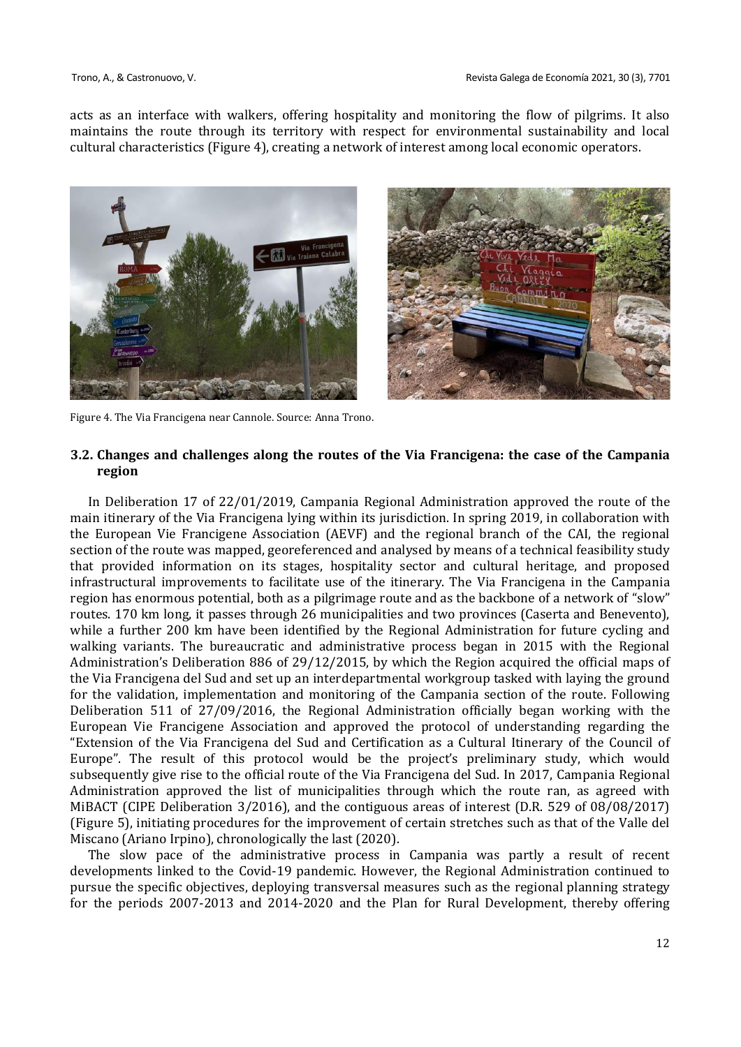acts as an interface with walkers, offering hospitality and monitoring the flow of pilgrims. It also maintains the route through its territory with respect for environmental sustainability and local cultural characteristics (Figure 4), creating a network of interest among local economic operators.





Figure 4. The Via Francigena near Cannole. Source: Anna Trono.

# **3.2. Changes and challenges along the routes of the Via Francigena: the case of the Campania region**

In Deliberation 17 of 22/01/2019, Campania Regional Administration approved the route of the main itinerary of the Via Francigena lying within its jurisdiction. In spring 2019, in collaboration with the European Vie Francigene Association (AEVF) and the regional branch of the CAI, the regional section of the route was mapped, georeferenced and analysed by means of a technical feasibility study that provided information on its stages, hospitality sector and cultural heritage, and proposed infrastructural improvements to facilitate use of the itinerary. The Via Francigena in the Campania region has enormous potential, both as a pilgrimage route and as the backbone of a network of "slow" routes. 170 km long, it passes through 26 municipalities and two provinces (Caserta and Benevento), while a further 200 km have been identified by the Regional Administration for future cycling and walking variants. The bureaucratic and administrative process began in 2015 with the Regional Administration's Deliberation 886 of 29/12/2015, by which the Region acquired the official maps of the Via Francigena del Sud and set up an interdepartmental workgroup tasked with laying the ground for the validation, implementation and monitoring of the Campania section of the route. Following Deliberation 511 of 27/09/2016, the Regional Administration officially began working with the European Vie Francigene Association and approved the protocol of understanding regarding the "Extension of the Via Francigena del Sud and Certification as a Cultural Itinerary of the Council of Europe". The result of this protocol would be the project's preliminary study, which would subsequently give rise to the official route of the Via Francigena del Sud. In 2017, Campania Regional Administration approved the list of municipalities through which the route ran, as agreed with MiBACT (CIPE Deliberation 3/2016), and the contiguous areas of interest (D.R. 529 of 08/08/2017) (Figure 5), initiating procedures for the improvement of certain stretches such as that of the Valle del Miscano (Ariano Irpino), chronologically the last (2020).

The slow pace of the administrative process in Campania was partly a result of recent developments linked to the Covid-19 pandemic. However, the Regional Administration continued to pursue the specific objectives, deploying transversal measures such as the regional planning strategy for the periods 2007-2013 and 2014-2020 and the Plan for Rural Development, thereby offering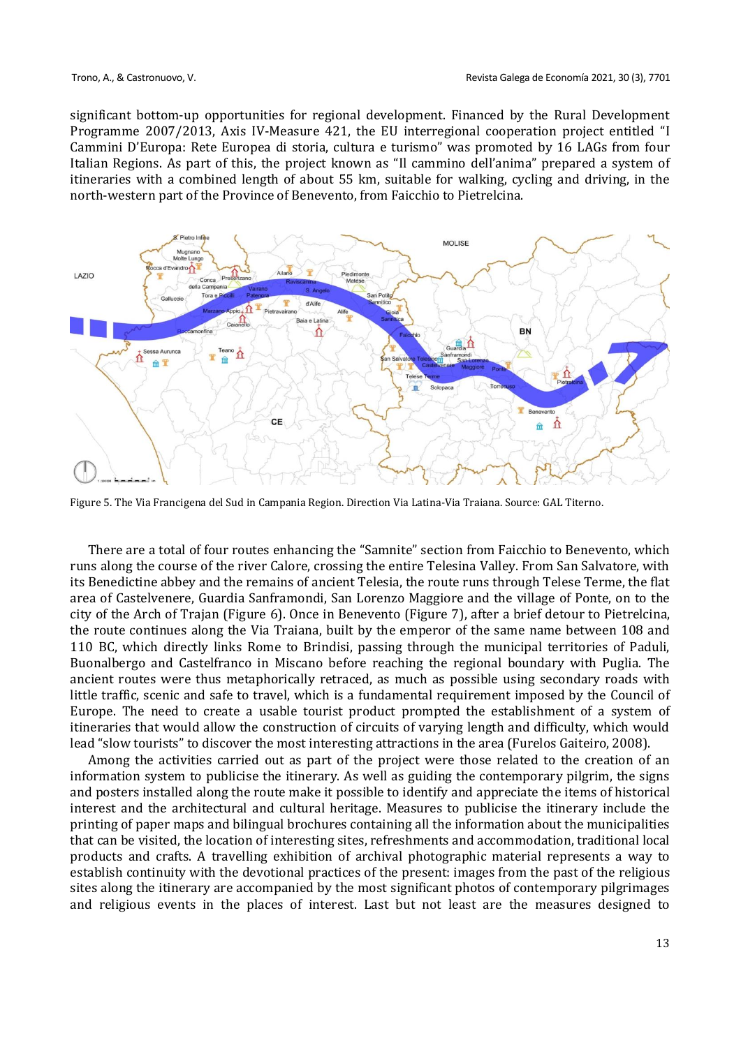significant bottom-up opportunities for regional development. Financed by the Rural Development Programme 2007/2013, Axis IV-Measure 421, the EU interregional cooperation project entitled "I Cammini D'Europa: Rete Europea di storia, cultura e turismo" was promoted by 16 LAGs from four Italian Regions. As part of this, the project known as "Il cammino dell'anima" prepared a system of itineraries with a combined length of about 55 km, suitable for walking, cycling and driving, in the north-western part of the Province of Benevento, from Faicchio to Pietrelcina.



Figure 5. The Via Francigena del Sud in Campania Region. Direction Via Latina-Via Traiana. Source: GAL Titerno.

There are a total of four routes enhancing the "Samnite" section from Faicchio to Benevento, which runs along the course of the river Calore, crossing the entire Telesina Valley. From San Salvatore, with its Benedictine abbey and the remains of ancient Telesia, the route runs through Telese Terme, the flat area of Castelvenere, Guardia Sanframondi, San Lorenzo Maggiore and the village of Ponte, on to the city of the Arch of Trajan (Figure 6). Once in Benevento (Figure 7), after a brief detour to Pietrelcina, the route continues along the Via Traiana, built by the emperor of the same name between 108 and 110 BC, which directly links Rome to Brindisi, passing through the municipal territories of Paduli, Buonalbergo and Castelfranco in Miscano before reaching the regional boundary with Puglia. The ancient routes were thus metaphorically retraced, as much as possible using secondary roads with little traffic, scenic and safe to travel, which is a fundamental requirement imposed by the Council of Europe. The need to create a usable tourist product prompted the establishment of a system of itineraries that would allow the construction of circuits of varying length and difficulty, which would lead "slow tourists" to discover the most interesting attractions in the area (Furelos Gaiteiro, 2008).

Among the activities carried out as part of the project were those related to the creation of an information system to publicise the itinerary. As well as guiding the contemporary pilgrim, the signs and posters installed along the route make it possible to identify and appreciate the items of historical interest and the architectural and cultural heritage. Measures to publicise the itinerary include the printing of paper maps and bilingual brochures containing all the information about the municipalities that can be visited, the location of interesting sites, refreshments and accommodation, traditional local products and crafts. A travelling exhibition of archival photographic material represents a way to establish continuity with the devotional practices of the present: images from the past of the religious sites along the itinerary are accompanied by the most significant photos of contemporary pilgrimages and religious events in the places of interest. Last but not least are the measures designed to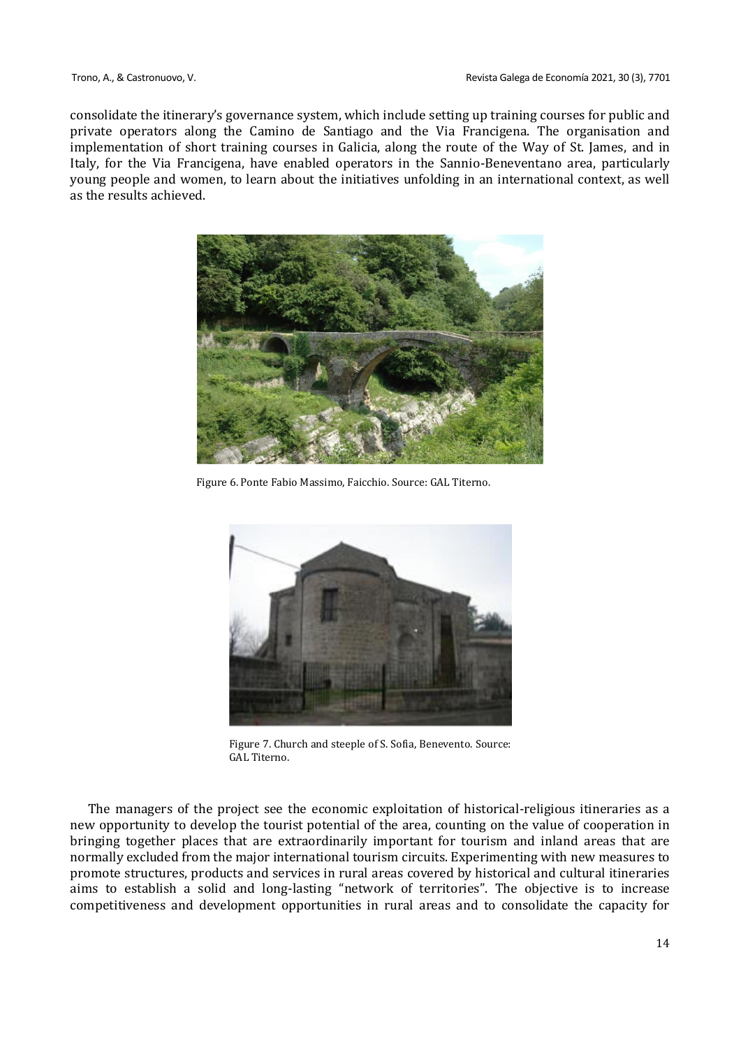consolidate the itinerary's governance system, which include setting up training courses for public and private operators along the Camino de Santiago and the Via Francigena. The organisation and implementation of short training courses in Galicia, along the route of the Way of St. James, and in Italy, for the Via Francigena, have enabled operators in the Sannio-Beneventano area, particularly young people and women, to learn about the initiatives unfolding in an international context, as well as the results achieved.



Figure 6. Ponte Fabio Massimo, Faicchio. Source: GAL Titerno.



Figure 7. Church and steeple of S. Sofia, Benevento. Source: GAL Titerno.

The managers of the project see the economic exploitation of historical-religious itineraries as a new opportunity to develop the tourist potential of the area, counting on the value of cooperation in bringing together places that are extraordinarily important for tourism and inland areas that are normally excluded from the major international tourism circuits. Experimenting with new measures to promote structures, products and services in rural areas covered by historical and cultural itineraries aims to establish a solid and long-lasting "network of territories". The objective is to increase competitiveness and development opportunities in rural areas and to consolidate the capacity for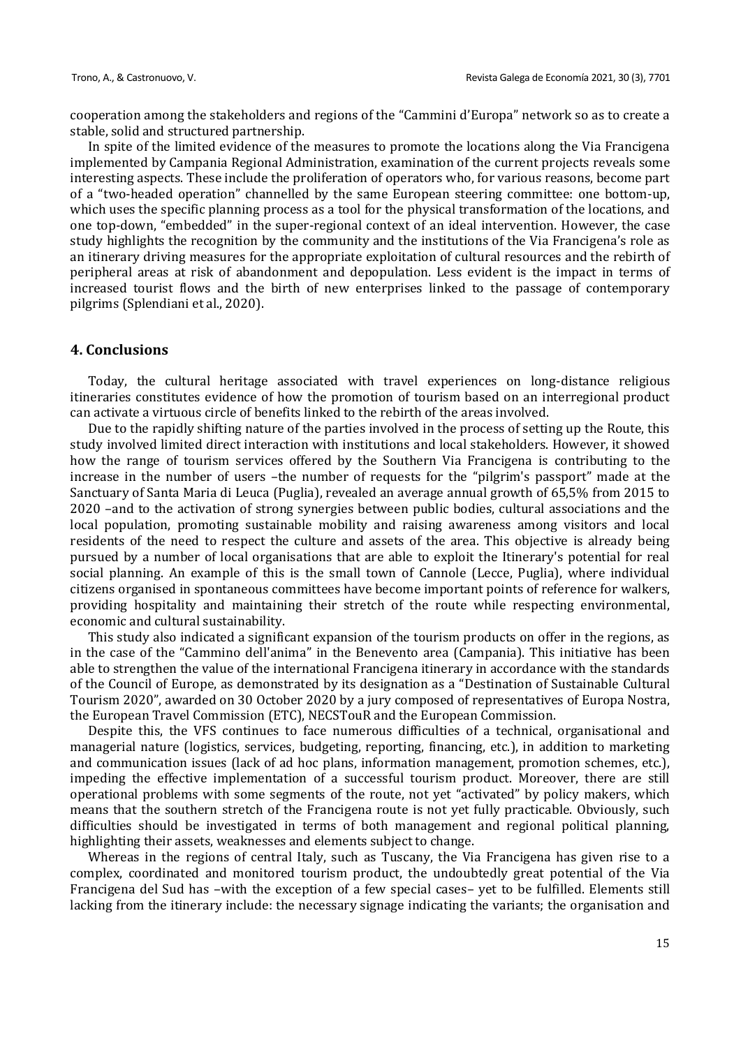cooperation among the stakeholders and regions of the "Cammini d'Europa" network so as to create a stable, solid and structured partnership.

In spite of the limited evidence of the measures to promote the locations along the Via Francigena implemented by Campania Regional Administration, examination of the current projects reveals some interesting aspects. These include the proliferation of operators who, for various reasons, become part of a "two-headed operation" channelled by the same European steering committee: one bottom-up, which uses the specific planning process as a tool for the physical transformation of the locations, and one top-down, "embedded" in the super-regional context of an ideal intervention. However, the case study highlights the recognition by the community and the institutions of the Via Francigena's role as an itinerary driving measures for the appropriate exploitation of cultural resources and the rebirth of peripheral areas at risk of abandonment and depopulation. Less evident is the impact in terms of increased tourist flows and the birth of new enterprises linked to the passage of contemporary pilgrims (Splendiani et al., 2020).

#### **4. Conclusions**

Today, the cultural heritage associated with travel experiences on long-distance religious itineraries constitutes evidence of how the promotion of tourism based on an interregional product can activate a virtuous circle of benefits linked to the rebirth of the areas involved.

Due to the rapidly shifting nature of the parties involved in the process of setting up the Route, this study involved limited direct interaction with institutions and local stakeholders. However, it showed how the range of tourism services offered by the Southern Via Francigena is contributing to the increase in the number of users –the number of requests for the "pilgrim's passport" made at the Sanctuary of Santa Maria di Leuca (Puglia), revealed an average annual growth of 65,5% from 2015 to 2020 –and to the activation of strong synergies between public bodies, cultural associations and the local population, promoting sustainable mobility and raising awareness among visitors and local residents of the need to respect the culture and assets of the area. This objective is already being pursued by a number of local organisations that are able to exploit the Itinerary's potential for real social planning. An example of this is the small town of Cannole (Lecce, Puglia), where individual citizens organised in spontaneous committees have become important points of reference for walkers, providing hospitality and maintaining their stretch of the route while respecting environmental, economic and cultural sustainability.

This study also indicated a significant expansion of the tourism products on offer in the regions, as in the case of the "Cammino dell'anima" in the Benevento area (Campania). This initiative has been able to strengthen the value of the international Francigena itinerary in accordance with the standards of the Council of Europe, as demonstrated by its designation as a "Destination of Sustainable Cultural Tourism 2020", awarded on 30 October 2020 by a jury composed of representatives of Europa Nostra, the European Travel Commission (ETC), NECSTouR and the European Commission.

Despite this, the VFS continues to face numerous difficulties of a technical, organisational and managerial nature (logistics, services, budgeting, reporting, financing, etc.), in addition to marketing and communication issues (lack of ad hoc plans, information management, promotion schemes, etc.), impeding the effective implementation of a successful tourism product. Moreover, there are still operational problems with some segments of the route, not yet "activated" by policy makers, which means that the southern stretch of the Francigena route is not yet fully practicable. Obviously, such difficulties should be investigated in terms of both management and regional political planning, highlighting their assets, weaknesses and elements subject to change.

Whereas in the regions of central Italy, such as Tuscany, the Via Francigena has given rise to a complex, coordinated and monitored tourism product, the undoubtedly great potential of the Via Francigena del Sud has –with the exception of a few special cases– yet to be fulfilled. Elements still lacking from the itinerary include: the necessary signage indicating the variants; the organisation and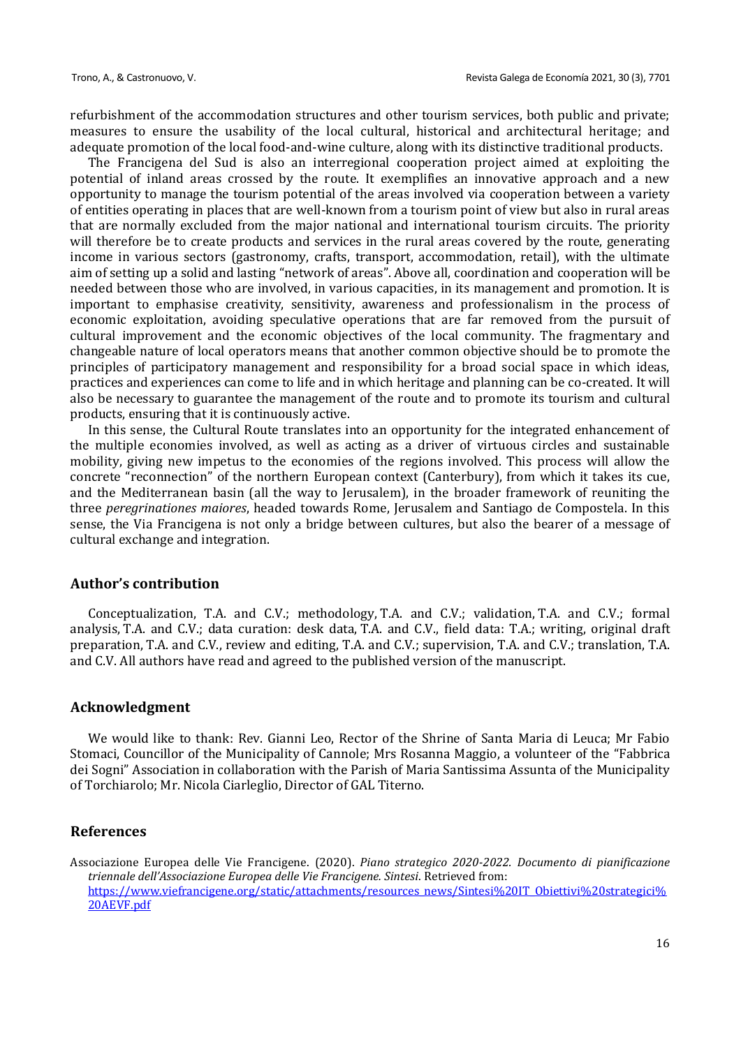refurbishment of the accommodation structures and other tourism services, both public and private; measures to ensure the usability of the local cultural, historical and architectural heritage; and adequate promotion of the local food-and-wine culture, along with its distinctive traditional products.

The Francigena del Sud is also an interregional cooperation project aimed at exploiting the potential of inland areas crossed by the route. It exemplifies an innovative approach and a new opportunity to manage the tourism potential of the areas involved via cooperation between a variety of entities operating in places that are well-known from a tourism point of view but also in rural areas that are normally excluded from the major national and international tourism circuits. The priority will therefore be to create products and services in the rural areas covered by the route, generating income in various sectors (gastronomy, crafts, transport, accommodation, retail), with the ultimate aim of setting up a solid and lasting "network of areas". Above all, coordination and cooperation will be needed between those who are involved, in various capacities, in its management and promotion. It is important to emphasise creativity, sensitivity, awareness and professionalism in the process of economic exploitation, avoiding speculative operations that are far removed from the pursuit of cultural improvement and the economic objectives of the local community. The fragmentary and changeable nature of local operators means that another common objective should be to promote the principles of participatory management and responsibility for a broad social space in which ideas, practices and experiences can come to life and in which heritage and planning can be co-created. It will also be necessary to guarantee the management of the route and to promote its tourism and cultural products, ensuring that it is continuously active.

In this sense, the Cultural Route translates into an opportunity for the integrated enhancement of the multiple economies involved, as well as acting as a driver of virtuous circles and sustainable mobility, giving new impetus to the economies of the regions involved. This process will allow the concrete "reconnection" of the northern European context (Canterbury), from which it takes its cue, and the Mediterranean basin (all the way to Jerusalem), in the broader framework of reuniting the three *peregrinationes maiores*, headed towards Rome, Jerusalem and Santiago de Compostela. In this sense, the Via Francigena is not only a bridge between cultures, but also the bearer of a message of cultural exchange and integration.

#### **Author's contribution**

Conceptualization, T.A. and C.V.; methodology, T.A. and C.V.; validation, T.A. and C.V.; formal analysis, T.A. and C.V.; data curation: desk data, T.A. and C.V., field data: T.A.; writing, original draft preparation, T.A. and C.V., review and editing, T.A. and C.V.; supervision, T.A. and C.V.; translation, T.A. and C.V. All authors have read and agreed to the published version of the manuscript.

#### **Acknowledgment**

We would like to thank: Rev. Gianni Leo, Rector of the Shrine of Santa Maria di Leuca; Mr Fabio Stomaci, Councillor of the Municipality of Cannole; Mrs Rosanna Maggio, a volunteer of the "Fabbrica dei Sogni" Association in collaboration with the Parish of Maria Santissima Assunta of the Municipality of Torchiarolo; Mr. Nicola Ciarleglio, Director of GAL Titerno.

### **References**

Associazione Europea delle Vie Francigene. (2020). *Piano strategico 2020-2022. Documento di pianificazione triennale dell'Associazione Europea delle Vie Francigene. Sintesi*. Retrieved from: [https://www.viefrancigene.org/static/attachments/resources\\_news/Sintesi%20IT\\_Obiettivi%20strategici%](https://www.viefrancigene.org/static/attachments/resources_news/Sintesi%20IT_Obiettivi%20strategici%20AEVF.pdf) [20AEVF.pdf](https://www.viefrancigene.org/static/attachments/resources_news/Sintesi%20IT_Obiettivi%20strategici%20AEVF.pdf)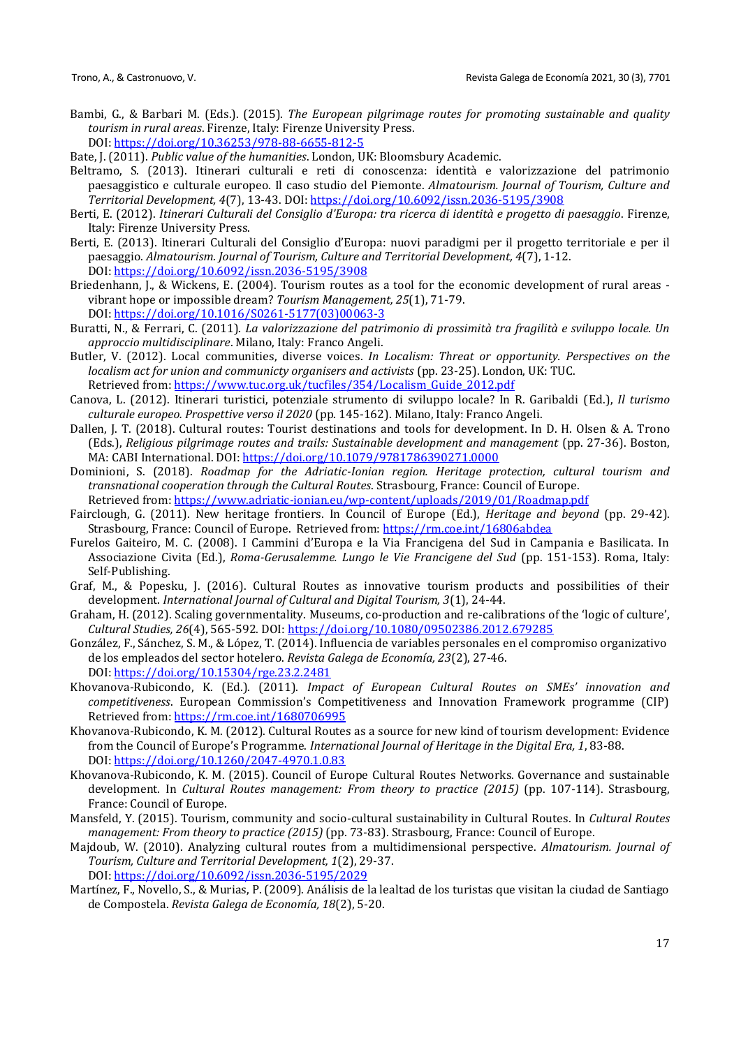Bambi, G., & Barbari M. (Eds.). (2015). *The European pilgrimage routes for promoting sustainable and quality tourism in rural areas*. Firenze, Italy: Firenze University Press. DOI:<https://doi.org/10.36253/978-88-6655-812-5>

Bate, J. (2011). *Public value of the humanities*. London, UK: Bloomsbury Academic.

- Beltramo, S. (2013). Itinerari culturali e reti di conoscenza: identità e valorizzazione del patrimonio paesaggistico e culturale europeo. Il caso studio del Piemonte. *Almatourism. Journal of Tourism, Culture and Territorial Development, 4*(7), 13-43. DOI:<https://doi.org/10.6092/issn.2036-5195/3908>
- Berti, E. (2012). *Itinerari Culturali del Consiglio d'Europa: tra ricerca di identità e progetto di paesaggio*. Firenze, Italy: Firenze University Press.
- Berti, E. (2013). Itinerari Culturali del Consiglio d'Europa: nuovi paradigmi per il progetto territoriale e per il paesaggio. *Almatourism. Journal of Tourism, Culture and Territorial Development, 4*(7), 1-12. DOI:<https://doi.org/10.6092/issn.2036-5195/3908>
- Briedenhann, J., & Wickens, E. (2004). Tourism routes as a tool for the economic development of rural areas vibrant hope or impossible dream? *Tourism Management, 25*(1), 71-79. DOI: [https://doi.org/10.1016/S0261-5177\(03\)00063-3](https://doi.org/10.1016/S0261-5177(03)00063-3)
- Buratti, N., & Ferrari, C. (2011). *La valorizzazione del patrimonio di prossimità tra fragilità e sviluppo locale. Un approccio multidisciplinare*. Milano, Italy: Franco Angeli.
- Butler, V. (2012). Local communities, diverse voices. *In Localism: Threat or opportunity. Perspectives on the localism act for union and communicty organisers and activists* (pp. 23-25). London, UK: TUC. Retrieved from: [https://www.tuc.org.uk/tucfiles/354/Localism\\_Guide\\_2012.pdf](https://www.tuc.org.uk/tucfiles/354/Localism_Guide_2012.pdf)
- Canova, L. (2012). Itinerari turistici, potenziale strumento di sviluppo locale? In R. Garibaldi (Ed.), *Il turismo culturale europeo. Prospettive verso il 2020* (pp. 145-162). Milano, Italy: Franco Angeli.
- Dallen, J. T. (2018). Cultural routes: Tourist destinations and tools for development. In D. H. Olsen & A. Trono (Eds.), *Religious pilgrimage routes and trails: Sustainable development and management* (pp. 27-36). Boston, MA: CABI International. DOI:<https://doi.org/10.1079/9781786390271.0000>
- Dominioni, S. (2018). *Roadmap for the Adriatic-Ionian region. Heritage protection, cultural tourism and transnational cooperation through the Cultural Routes*. Strasbourg, France: Council of Europe. Retrieved from:<https://www.adriatic-ionian.eu/wp-content/uploads/2019/01/Roadmap.pdf>
- Fairclough, G. (2011). New heritage frontiers. In Council of Europe (Ed.), *Heritage and beyond* (pp. 29-42). Strasbourg, France: Council of Europe. Retrieved from:<https://rm.coe.int/16806abdea>
- Furelos Gaiteiro, M. C. (2008). I Cammini d'Europa e la Via Francigena del Sud in Campania e Basilicata. In Associazione Civita (Ed.), *Roma-Gerusalemme. Lungo le Vie Francigene del Sud* (pp. 151-153). Roma, Italy: Self-Publishing.
- Graf, M., & Popesku, J. (2016). Cultural Routes as innovative tourism products and possibilities of their development. *International Journal of Cultural and Digital Tourism, 3*(1), 24-44.
- Graham, H. (2012). Scaling governmentality. Museums, co-production and re-calibrations of the 'logic of culture', *Cultural Studies, 26*(4), 565-592. DOI[: https://doi.org/10.1080/09502386.2012.679285](https://doi.org/10.1080/09502386.2012.679285)
- González, F., Sánchez, S. M., & López, T. (2014). Influencia de variables personales en el compromiso organizativo de los empleados del sector hotelero. *Revista Galega de Economía, 23*(2), 27-46. DOI: <https://doi.org/10.15304/rge.23.2.2481>
- Khovanova-Rubicondo, K. (Ed.). (2011). *Impact of European Cultural Routes on SMEs' innovation and competitiveness*. European Commission's Competitiveness and Innovation Framework programme (CIP) Retrieved from:<https://rm.coe.int/1680706995>
- Khovanova-Rubicondo, K. M. (2012). Cultural Routes as a source for new kind of tourism development: Evidence from the Council of Europe's Programme. *International Journal of Heritage in the Digital Era, 1*, 83-88. DOI: [https://doi.org/10.1260/2047-4970.1.0.83](https://doi.org/10.1260%2F2047-4970.1.0.83)
- Khovanova-Rubicondo, K. M. (2015). Council of Europe Cultural Routes Networks. Governance and sustainable development. In *Cultural Routes management: From theory to practice (2015)* (pp. 107-114). Strasbourg, France: Council of Europe.
- Mansfeld, Y. (2015). Tourism, community and socio-cultural sustainability in Cultural Routes. In *Cultural Routes management: From theory to practice (2015)* (pp. 73-83). Strasbourg, France: Council of Europe.
- Majdoub, W. (2010). Analyzing cultural routes from a multidimensional perspective. *Almatourism. Journal of Tourism, Culture and Territorial Development, 1*(2), 29-37.

DOI:<https://doi.org/10.6092/issn.2036-5195/2029>

Martínez, F., Novello, S., & Murias, P. (2009). Análisis de la lealtad de los turistas que visitan la ciudad de Santiago de Compostela. *Revista Galega de Economía, 18*(2), 5-20.